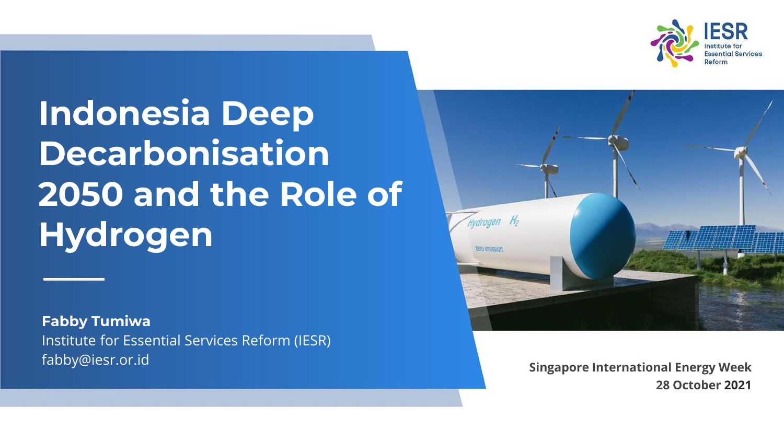

## **Indonesia Deep Decarbonisation 2050 and the Role of Hydrogen**

**Fabby Tumiwa** Institute for Essential Services Reform (IESR) fabby@iesr.or.id **Singapore International Energy Week**



**28 October 2021**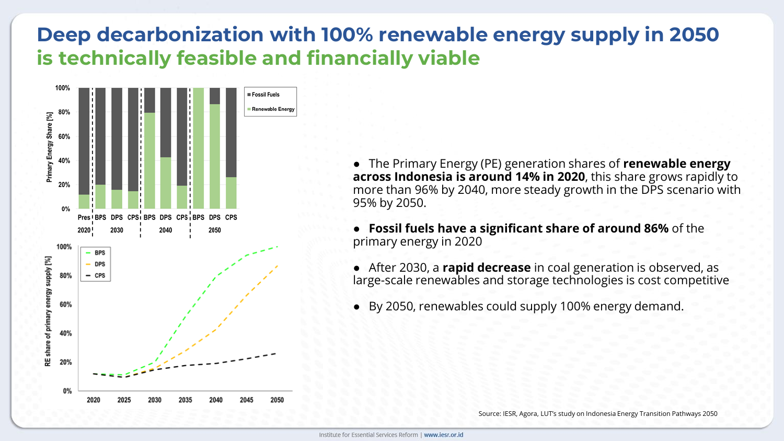#### **Deep decarbonization with 100% renewable energy supply in 2050 is technically feasible and financially viable**



● The Primary Energy (PE) generation shares of **renewable energy across Indonesia is around 14% in 2020**, this share grows rapidly to more than 96% by 2040, more steady growth in the DPS scenario with 95% by 2050.

● **Fossil fuels have a significant share of around 86%** of the primary energy in 2020

● After 2030, a **rapid decrease** in coal generation is observed, as large-scale renewables and storage technologies is cost competitive

● By 2050, renewables could supply 100% energy demand.

Source: IESR, Agora, LUT's study on Indonesia Energy Transition Pathways 2050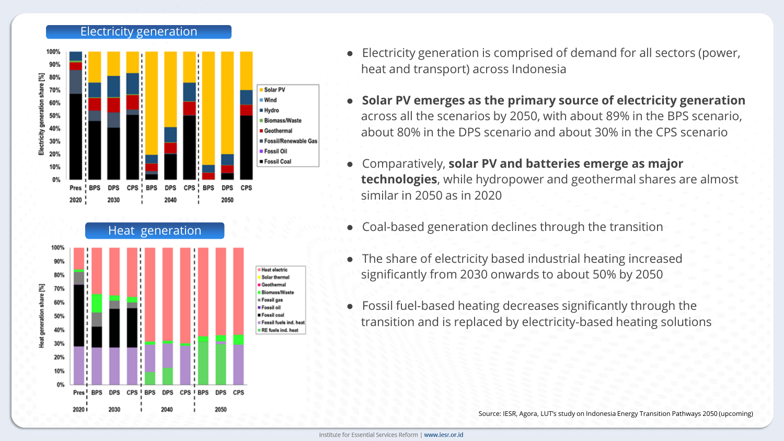



- Electricity generation is comprised of demand for all sectors (power, heat and transport) across Indonesia
- **Solar PV emerges as the primary source of electricity generation** across all the scenarios by 2050, with about 89% in the BPS scenario, about 80% in the DPS scenario and about 30% in the CPS scenario
- Comparatively, **solar PV and batteries emerge as major technologies**, while hydropower and geothermal shares are almost similar in 2050 as in 2020
- Coal-based generation declines through the transition
- The share of electricity based industrial heating increased significantly from 2030 onwards to about 50% by 2050
- Fossil fuel-based heating decreases significantly through the transition and is replaced by electricity-based heating solutions

Source: IESR, Agora, LUT's study on Indonesia Energy Transition Pathways 2050 (upcoming)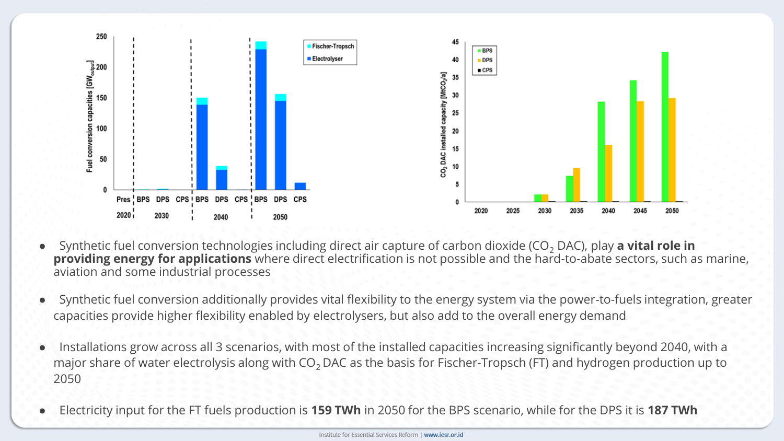

- Synthetic fuel conversion technologies including direct air capture of carbon dioxide (CO<sub>2</sub> DAC), play **a vital role in providing energy for applications** where direct electrification is not possible and the hard-to-abate sectors, such as marine, aviation and some industrial processes
- Synthetic fuel conversion additionally provides vital flexibility to the energy system via the power-to-fuels integration, greater capacities provide higher flexibility enabled by electrolysers, but also add to the overall energy demand
- Installations grow across all 3 scenarios, with most of the installed capacities increasing significantly beyond 2040, with a major share of water electrolysis along with  $CO<sub>2</sub>$  DAC as the basis for Fischer-Tropsch (FT) and hydrogen production up to 2050
- Electricity input for the FT fuels production is **159 TWh** in 2050 for the BPS scenario, while for the DPS it is **187 TWh**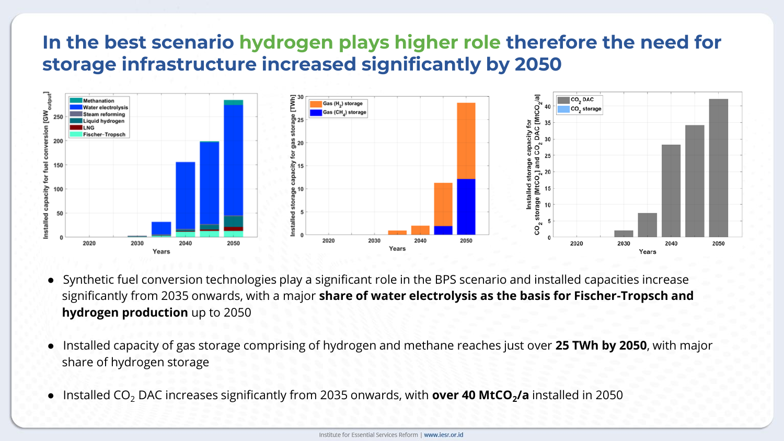#### **In the best scenario hydrogen plays higher role therefore the need for storage infrastructure increased significantly by 2050**



- Synthetic fuel conversion technologies play a significant role in the BPS scenario and installed capacities increase significantly from 2035 onwards, with a major **share of water electrolysis as the basis for Fischer-Tropsch and hydrogen production** up to 2050
- Installed capacity of gas storage comprising of hydrogen and methane reaches just over **25 TWh by 2050**, with major share of hydrogen storage
- Installed CO<sup>2</sup> DAC increases significantly from 2035 onwards, with **over 40 MtCO<sup>2</sup> /a** installed in 2050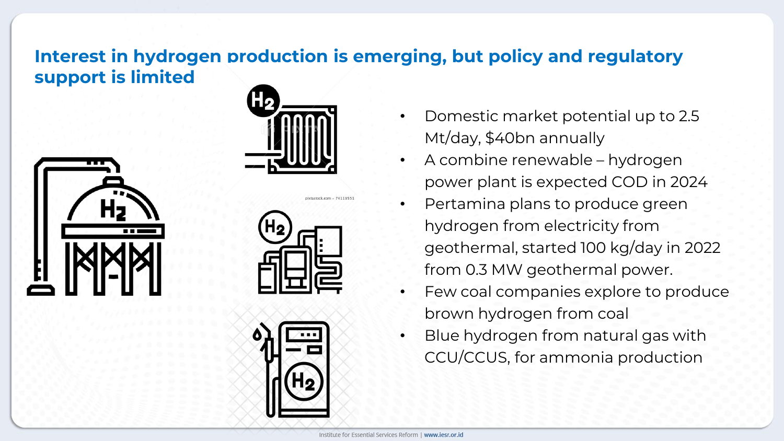#### **Interest in hydrogen production is emerging, but policy and regulatory support is limited**









- Domestic market potential up to 2.5 Mt/day, \$40bn annually
- A combine renewable hydrogen power plant is expected COD in 2024
- Pertamina plans to produce green hydrogen from electricity from geothermal, started 100 kg/day in 2022 from 0.3 MW geothermal power.
- Few coal companies explore to produce brown hydrogen from coal
- Blue hydrogen from natural gas with CCU/CCUS, for ammonia production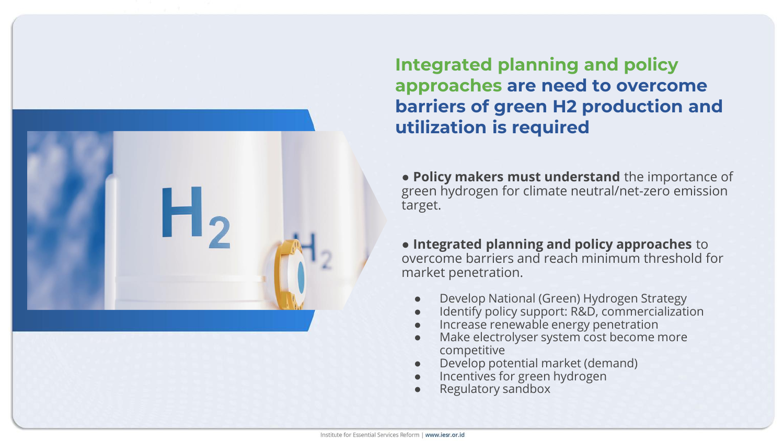

**Integrated planning and policy approaches are need to overcome barriers of green H2 production and utilization is required** 

● **Policy makers must understand** the importance of green hydrogen for climate neutral/net-zero emission target.

● **Integrated planning and policy approaches** to overcome barriers and reach minimum threshold for market penetration.

- Develop National (Green) Hydrogen Strategy
- Identify policy support: R&D, commercialization
- Increase renewable energy penetration
- Make electrolyser system cost become more competitive
- Develop potential market (demand)
- Incentives for green hydrogen
- Regulatory sandbox